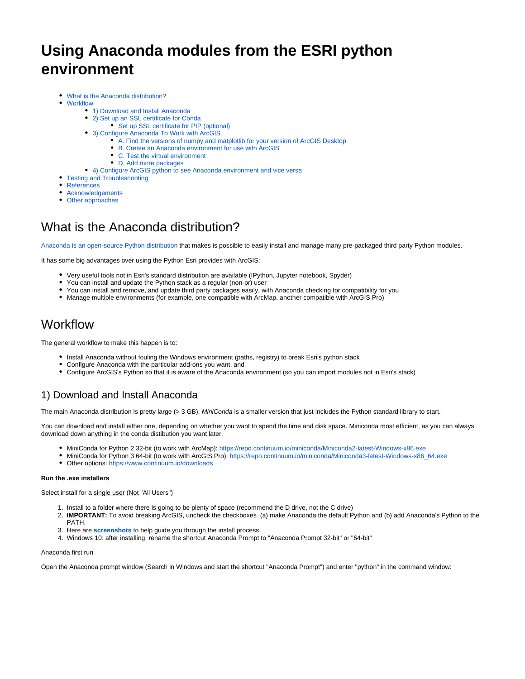# **Using Anaconda modules from the ESRI python environment**

- [What is the Anaconda distribution?](#page-0-0)
- [Workflow](#page-0-1)
	- [1\) Download and Install Anaconda](#page-0-2)
	- [2\) Set up an SSL certificate for Conda](#page-1-0)
		- [Set up SSL certificate for PIP \(optional\)](#page-1-1)
	- [3\) Configure Anaconda To Work with ArcGIS](#page-1-2)
		- [A. Find the versions of numpy and matplotlib for your version of ArcGIS Desktop](#page-1-3)
		- [B. Create an Anaconda environment for use with ArcGIS](#page-2-0)
		- [C. Test the virtual environment](#page-3-0)
		- [D. Add more packages](#page-3-1)
	- [4\) Configure ArcGIS python to see Anaconda environment and vice versa](#page-4-0)
- [Testing and Troubleshooting](#page-4-1)
- [References](#page-5-0)
- [Acknowledgements](#page-5-1)
- [Other approaches](#page-5-2)

# <span id="page-0-0"></span>What is the Anaconda distribution?

[Anaconda is an open-source Python distribution](http://continuum.io/downloads) that makes is possible to easily install and manage many pre-packaged third party Python modules.

It has some big advantages over using the Python Esri provides with ArcGIS:

- Very useful tools not in Esri's standard distribution are available (IPython, Jupyter notebook, Spyder)
- You can install and update the Python stack as a regular (non-pr) user
- You can install and remove, and update third party packages easily, with Anaconda checking for compatibility for you
- Manage multiple environments (for example, one compatible with ArcMap, another compatible with ArcGIS Pro)

# <span id="page-0-1"></span>**Workflow**

The general workflow to make this happen is to:

- Install Anaconda without fouling the Windows environment (paths, registry) to break Esri's python stack
- Configure Anaconda with the particular add-ons you want, and
- Configure ArcGIS's Python so that it is aware of the Anaconda environment (so you can import modules not in Esri's stack)

## <span id="page-0-2"></span>1) Download and Install Anaconda

The main Anaconda distribution is pretty large (> 3 GB). MiniConda is a smaller version that just includes the Python standard library to start.

You can download and install either one, depending on whether you want to spend the time and disk space. Miniconda most efficient, as you can always download down anything in the conda distibution you want later.

- MiniConda for Python 2 32-bit (to work with ArcMap): <https://repo.continuum.io/miniconda/Miniconda2-latest-Windows-x86.exe>
- MiniConda for Python 3 64-bit (to work with ArcGIS Pro): [https://repo.continuum.io/miniconda/Miniconda3-latest-Windows-x86\\_64.exe](https://repo.continuum.io/miniconda/Miniconda3-latest-Windows-x86_64.exe)
- Other options:<https://www.continuum.io/downloads>

### **Run the .exe installers**

Select install for a single user (Not "All Users")

- 1. Install to a folder where there is going to be plenty of space (recommend the D drive, not the C drive)
- 2. **IMPORTANT:** To avoid breaking ArcGIS, uncheck the checkboxes (a) make Anaconda the default Python and (b) add Anaconda's Python to the PATH.
- 3. Here are **[screenshots](https://my.usgs.gov/confluence/download/attachments/533759159/MiniConda_Install.pdf?version=1&modificationDate=1464205281677&api=v2)** to help guide you through the install process.
- 4. Windows 10: after installing, rename the shortcut Anaconda Prompt to "Anaconda Prompt 32-bit" or "64-bit"

#### Anaconda first run

Open the Anaconda prompt window (Search in Windows and start the shortcut "Anaconda Prompt") and enter "python" in the command window: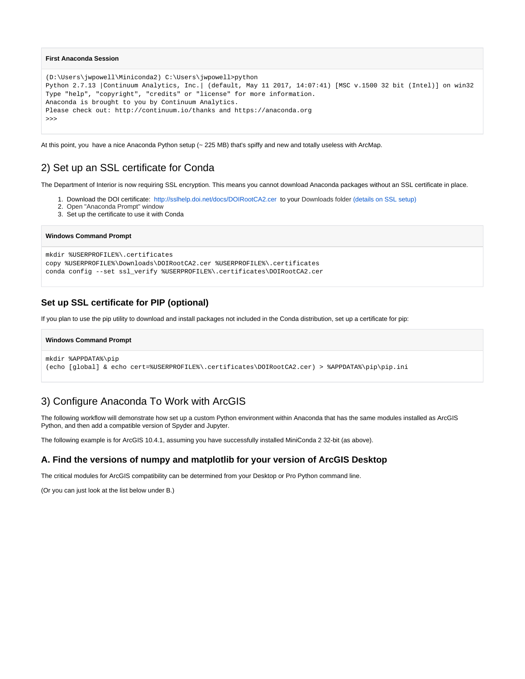### **First Anaconda Session**

```
(D:\Users\jwpowell\Miniconda2) C:\Users\jwpowell>python
Python 2.7.13 |Continuum Analytics, Inc.| (default, May 11 2017, 14:07:41) [MSC v.1500 32 bit (Intel)] on win32
Type "help", "copyright", "credits" or "license" for more information.
Anaconda is brought to you by Continuum Analytics.
Please check out: http://continuum.io/thanks and https://anaconda.org
>>>
```
At this point, you have a nice Anaconda Python setup (~ 225 MB) that's spiffy and new and totally useless with ArcMap.

## <span id="page-1-0"></span>2) Set up an SSL certificate for Conda

The Department of Interior is now requiring SSL encryption. This means you cannot download Anaconda packages without an SSL certificate in place.

- 1. Download the DOI certificate: <http://sslhelp.doi.net/docs/DOIRootCA2.cer>to your Downloads folder [\(details on SSL setup\)](https://github.com/usgs/best-practices/tree/master/ssl)
- 2. Open "Anaconda Prompt" window
- 3. Set up the certificate to use it with Conda

#### **Windows Command Prompt**

```
mkdir %USERPROFILE%\.certificates
copy %USERPROFILE%\Downloads\DOIRootCA2.cer %USERPROFILE%\.certificates
conda config --set ssl_verify %USERPROFILE%\.certificates\DOIRootCA2.cer
```
## <span id="page-1-1"></span>**Set up SSL certificate for PIP (optional)**

If you plan to use the pip utility to download and install packages not included in the Conda distribution, set up a certificate for pip:

```
Windows Command Prompt
mkdir %APPDATA%\pip
(echo [global] & echo cert=%USERPROFILE%\.certificates\DOIRootCA2.cer) > %APPDATA%\pip\pip.ini
```
## <span id="page-1-2"></span>3) Configure Anaconda To Work with ArcGIS

The following workflow will demonstrate how set up a custom Python environment within Anaconda that has the same modules installed as ArcGIS Python, and then add a compatible version of Spyder and Jupyter.

The following example is for ArcGIS 10.4.1, assuming you have successfully installed MiniConda 2 32-bit (as above).

## <span id="page-1-3"></span>**A. Find the versions of numpy and matplotlib for your version of ArcGIS Desktop**

The critical modules for ArcGIS compatibility can be determined from your Desktop or Pro Python command line.

(Or you can just look at the list below under B.)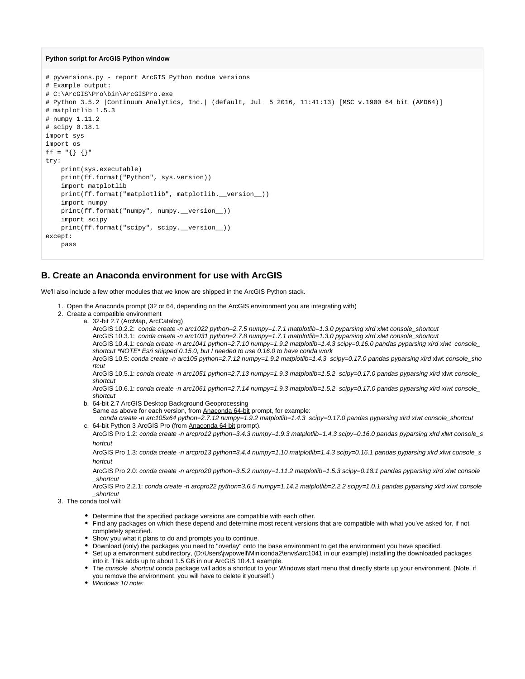### **Python script for ArcGIS Python window**

```
# pyversions.py - report ArcGIS Python modue versions
# Example output:
# C:\ArcGIS\Pro\bin\ArcGISPro.exe
# Python 3.5.2 |Continuum Analytics, Inc.| (default, Jul 5 2016, 11:41:13) [MSC v.1900 64 bit (AMD64)]
# matplotlib 1.5.3
# numpy 1.11.2
# scipy 0.18.1
import sys
import os
ff = "\{\} \{\}"
try:
    print(sys.executable)
    print(ff.format("Python", sys.version))
     import matplotlib
     print(ff.format("matplotlib", matplotlib.__version__))
    import numpy
    print(ff.format("numpy", numpy.__version__))
     import scipy
    print(ff.format("scipy", scipy.__version__))
except:
    pass
```
## <span id="page-2-0"></span>**B. Create an Anaconda environment for use with ArcGIS**

We'll also include a few other modules that we know are shipped in the ArcGIS Python stack.

- 1. Open the Anaconda prompt (32 or 64, depending on the ArcGIS environment you are integrating with)
- 2. Create a compatible environment
	- a. 32-bit 2.7 (ArcMap, ArcCatalog)

ArcGIS 10.2.2: conda create -n arc1022 python=2.7.5 numpy=1.7.1 matplotlib=1.3.0 pyparsing xlrd xlwt console\_shortcut ArcGIS 10.3.1: conda create -n arc1031 python=2.7.8 numpy=1.7.1 matplotlib=1.3.0 pyparsing xlrd xlwt console\_shortcut ArcGIS 10.4.1: conda create -n arc1041 python=2.7.10 numpy=1.9.2 matplotlib=1.4.3 scipy=0.16.0 pandas pyparsing xlrd xlwt console\_ shortcut \*NOTE\* Esri shipped 0.15.0, but I needed to use 0.16.0 to have conda work ArcGIS 10.5: conda create -n arc105 python=2.7.12 numpy=1.9.2 matplotlib=1.4.3 scipy=0.17.0 pandas pyparsing xlrd xlwt console\_sho

rtcut

ArcGIS 10.5.1: conda create -n arc1051 python=2.7.13 numpy=1.9.3 matplotlib=1.5.2 scipy=0.17.0 pandas pyparsing xlrd xlwt console\_ shortcut

ArcGIS 10.6.1: conda create -n arc1061 python=2.7.14 numpy=1.9.3 matplotlib=1.5.2 scipy=0.17.0 pandas pyparsing xlrd xlwt console\_ shortcut

- b. 64-bit 2.7 ArcGIS Desktop Background Geoprocessing
	- Same as above for each version, from Anaconda 64-bit prompt, for example:

c. 64-bit Python 3 ArcGIS Pro (from <u>Anaconda 64 bit</u> prompt). conda create -n arc105x64 python=2.7.12 numpy=1.9.2 matplotlib=1.4.3 scipy=0.17.0 pandas pyparsing xlrd xlwt console\_shortcut

ArcGIS Pro 1.2: conda create -n arcpro12 python=3.4.3 numpy=1.9.3 matplotlib=1.4.3 scipy=0.16.0 pandas pyparsing xlrd xlwt console\_s hortcut

ArcGIS Pro 1.3: conda create -n arcpro13 python=3.4.4 numpy=1.10 matplotlib=1.4.3 scipy=0.16.1 pandas pyparsing xlrd xlwt console\_s hortcut

ArcGIS Pro 2.0: conda create -n arcpro20 python=3.5.2 numpy=1.11.2 matplotlib=1.5.3 scipy=0.18.1 pandas pyparsing xlrd xlwt console \_shortcut

ArcGIS Pro 2.2.1: conda create -n arcpro22 python=3.6.5 numpy=1.14.2 matplotlib=2.2.2 scipy=1.0.1 pandas pyparsing xlrd xlwt console \_shortcut

- 3. The conda tool will:
	- Determine that the specified package versions are compatible with each other.
	- Find any packages on which these depend and determine most recent versions that are compatible with what you've asked for, if not completely specified.
	- Show you what it plans to do and prompts you to continue.
	- Download (only) the packages you need to "overlay" onto the base environment to get the environment you have specified.
	- Set up a environment subdirectory, (D:\Users\jwpowell\Miniconda2\envs\arc1041 in our example) installing the downloaded packages into it. This adds up to about 1.5 GB in our ArcGIS 10.4.1 example.
	- The console\_shortcut conda package will adds a shortcut to your Windows start menu that directly starts up your environment. (Note, if you remove the environment, you will have to delete it yourself.)
	- Windows 10 note: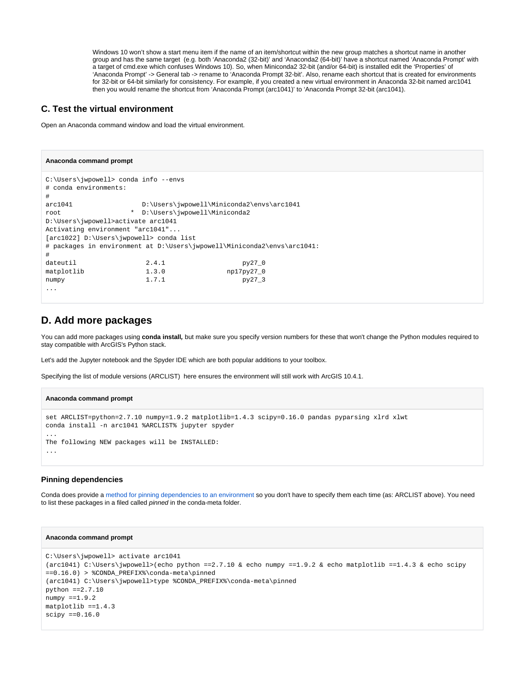Windows 10 won't show a start menu item if the name of an item/shortcut within the new group matches a shortcut name in another group and has the same target (e.g. both 'Anaconda2 (32-bit)' and 'Anaconda2 (64-bit)' have a shortcut named 'Anaconda Prompt' with a target of cmd.exe which confuses Windows 10). So, when Miniconda2 32-bit (and/or 64-bit) is installed edit the 'Properties' of 'Anaconda Prompt' -> General tab -> rename to 'Anaconda Prompt 32-bit'. Also, rename each shortcut that is created for environments for 32-bit or 64-bit similarly for consistency. For example, if you created a new virtual environment in Anaconda 32-bit named arc1041 then you would rename the shortcut from 'Anaconda Prompt (arc1041)' to 'Anaconda Prompt 32-bit (arc1041).

## <span id="page-3-0"></span>**C. Test the virtual environment**

Open an Anaconda command window and load the virtual environment.

```
Anaconda command prompt
C:\Users\jwpowell> conda info --envs
# conda environments:
#
arc1041 D:\Users\jwpowell\Miniconda2\envs\arc1041
root * D:\Users\jwpowell\Miniconda2
D:\Users\jwpowell>activate arc1041
Activating environment "arc1041"...
[arc1022] D:\Users\jwpowell> conda list
# packages in environment at D:\Users\jwpowell\Miniconda2\envs\arc1041:
#
dateutil 2.4.1 py27_0
matplotlib 1.3.0 np17py27_0
numpy 1.7.1 py27_3
...
```
## <span id="page-3-1"></span>**D. Add more packages**

You can add more packages using **conda install,** but make sure you specify version numbers for these that won't change the Python modules required to stay compatible with ArcGIS's Python stack.

Let's add the Jupyter notebook and the Spyder IDE which are both popular additions to your toolbox.

Specifying the list of module versions (ARCLIST) here ensures the environment will still work with ArcGIS 10.4.1.

#### **Anaconda command prompt**

```
set ARCLIST=python=2.7.10 numpy=1.9.2 matplotlib=1.4.3 scipy=0.16.0 pandas pyparsing xlrd xlwt
conda install -n arc1041 %ARCLIST% jupyter spyder
...
The following NEW packages will be INSTALLED:
...
```
### **Pinning dependencies**

Conda does provide a [method for pinning dependencies to an environment](https://conda.io/docs/faq.html#pinning-packages) so you don't have to specify them each time (as: ARCLIST above). You need to list these packages in a filed called pinned in the conda-meta folder.

```
Anaconda command prompt
C:\Users\jwpowell> activate arc1041
(arc1041) C:\Users\jwpowell>(echo python ==2.7.10 & echo numpy ==1.9.2 & echo matplotlib ==1.4.3 & echo scipy
==0.16.0) > %CONDA PREFIX%\conda-meta\pinned
(arc1041) C:\Users\jwpowell>type %CONDA_PREFIX%\conda-meta\pinned
python ==2.7.10
numpy == 1.9.2matplotlib == 1.4.3scipy == 0.16.0
```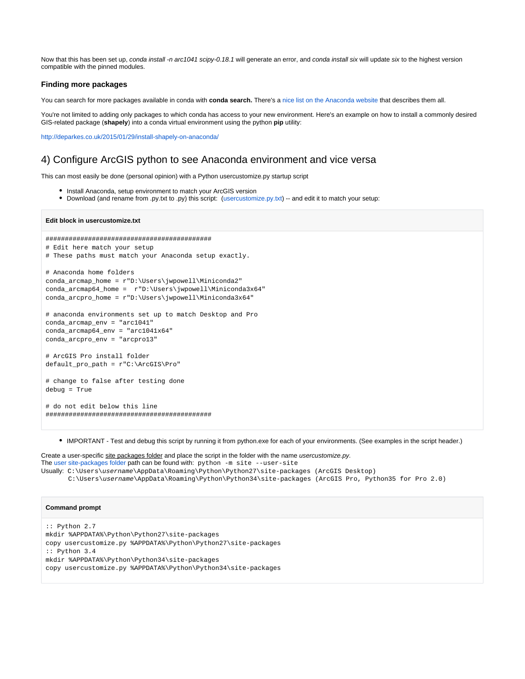Now that this has been set up, conda install -n arc1041 scipy-0.18.1 will generate an error, and conda install six will update six to the highest version compatible with the pinned modules.

### **Finding more packages**

You can search for more packages available in conda with **conda search.** There's a [nice list on the Anaconda website](https://docs.continuum.io/anaconda/packages/pkg-docs) that describes them all.

You're not limited to adding only packages to which conda has access to your new environment. Here's an example on how to install a commonly desired GIS-related package (**shapely**) into a conda virtual environment using the python **pip** utility:

<http://deparkes.co.uk/2015/01/29/install-shapely-on-anaconda/>

## <span id="page-4-0"></span>4) Configure ArcGIS python to see Anaconda environment and vice versa

This can most easily be done (personal opinion) with a Python usercustomize.py startup script

- Install Anaconda, setup environment to match your ArcGIS version
- Download (and rename from .py.txt to .py) this script: ([usercustomize.py.txt\)](https://my.usgs.gov/confluence/download/attachments/533759159/usercustomize.py.txt?version=12&modificationDate=1499374018550&api=v2) -- and edit it to match your setup:

#### **Edit block in usercustomize.txt**

```
###########################################
# Edit here match your setup
# These paths must match your Anaconda setup exactly.
# Anaconda home folders
conda_arcmap_home = r"D:\Users\jwpowell\Miniconda2"
conda_arcmap64_home = r"D:\Users\jwpowell\Miniconda3x64"
conda_arcpro_home = r"D:\Users\jwpowell\Miniconda3x64"
# anaconda environments set up to match Desktop and Pro
conda_arcmap_env = "arc1041"
conda_arcmap64_env = "arc1041x64"
conda_arcpro_env = "arcpro13"
# ArcGIS Pro install folder
default_pro_path = r"C:\ArcGIS\Pro"
# change to false after testing done
debug = True
# do not edit below this line
###########################################
```
IMPORTANT - Test and debug this script by running it from python.exe for each of your environments. (See examples in the script header.)

Create a user-specific site packages folder and place the script in the folder with the name usercustomize.py. The [user site-packages folder](https://www.python.org/dev/peps/pep-0370/) path can be found with: python -m site --user-site Usually: C:\Users\username\AppData\Roaming\Python\Python27\site-packages (ArcGIS Desktop) C:\Users\username\AppData\Roaming\Python\Python34\site-packages (ArcGIS Pro, Python35 for Pro 2.0)

#### **Command prompt**

```
:: Python 2.7
mkdir %APPDATA%\Python\Python27\site-packages
copy usercustomize.py %APPDATA%\Python\Python27\site-packages
:: Python 3.4
mkdir %APPDATA%\Python\Python34\site-packages
copy usercustomize.py %APPDATA%\Python\Python34\site-packages
```